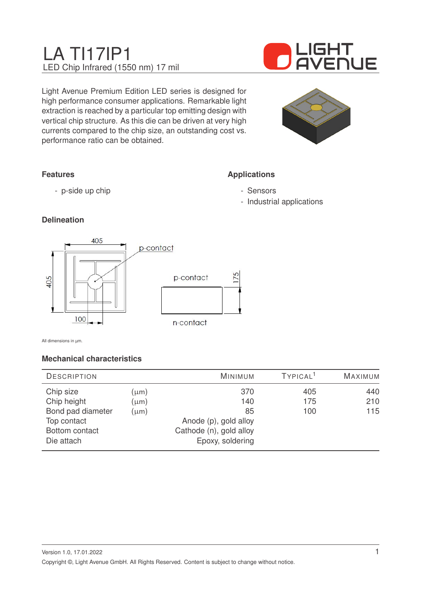# LA TI17IP1 LED Chip Infrared (1550 nm) 17 mil



Light Avenue Premium Edition LED series is designed for high performance consumer applications. Remarkable light extraction is reached by a particular top emitting design with vertical chip structure. As this die can be driven at very high currents compared to the chip size, an outstanding cost vs. performance ratio can be obtained.



**Applications**

- Sensors

- Industrial applications

# **Features**

- p-side up chip

### **Delineation**



All dimensions in µm.

### **Mechanical characteristics**

| <b>DESCRIPTION</b> |           | MINIMUM                 | TYPICAL <sup>1</sup> | <b>MAXIMUM</b> |
|--------------------|-----------|-------------------------|----------------------|----------------|
| Chip size          | $(\mu m)$ | 370                     | 405                  | 440            |
| Chip height        | $(\mu m)$ | 140                     | 175                  | 210            |
| Bond pad diameter  | $(\mu m)$ | 85                      | 100                  | 115            |
| Top contact        |           | Anode (p), gold alloy   |                      |                |
| Bottom contact     |           | Cathode (n), gold alloy |                      |                |
| Die attach         |           | Epoxy, soldering        |                      |                |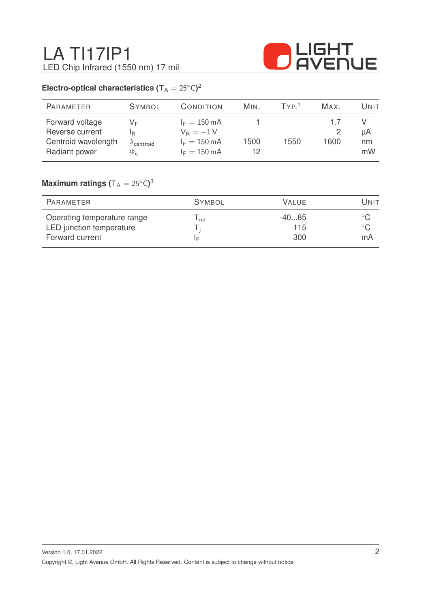

# **Electro-optical characteristics (** $T_A = 25^{\circ}C$ )<sup>2</sup>

| <b>PARAMETER</b>                                                           | <b>SYMBOL</b>                                                | CONDITION                                                                                 | MIN. | TYP <sup>1</sup> | MAX. | Unit           |
|----------------------------------------------------------------------------|--------------------------------------------------------------|-------------------------------------------------------------------------------------------|------|------------------|------|----------------|
| Forward voltage<br>Reverse current<br>Centroid wavelength<br>Radiant power | VF<br>IR.<br>$\lambda_{\mathsf{centroid}}$<br>$\Phi_{\rm e}$ | $I_F = 150 \text{ mA}$<br>$V_R = -1V$<br>$I_F = 150 \text{ mA}$<br>$I_F = 150 \text{ mA}$ | 1500 | 1550             | 1600 | μA<br>nm<br>mW |

# $\mathsf{Maximum}$  ratings  $(\mathsf{T_A} = 25^\circ\mathsf{C})^3$

| PARAMETER                                                                  | <b>SYMBOL</b> | <b>VALUE</b>          | UNIT               |
|----------------------------------------------------------------------------|---------------|-----------------------|--------------------|
| Operating temperature range<br>LED junction temperature<br>Forward current | OD<br>ΙF      | $-4085$<br>115<br>300 | $^{\circ}$ C<br>mA |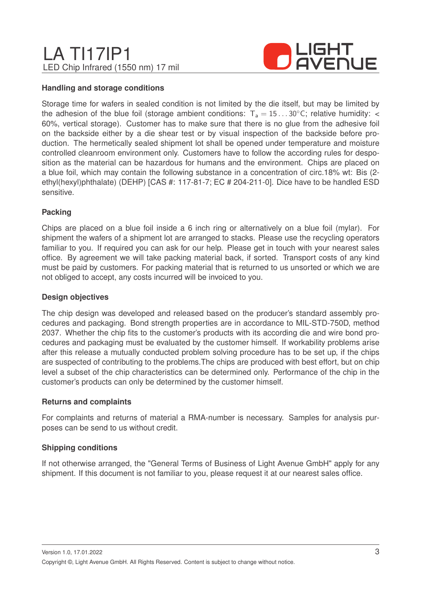# LA TI17IP1 LED Chip Infrared (1550 nm) 17 mil



#### **Handling and storage conditions**

Storage time for wafers in sealed condition is not limited by the die itself, but may be limited by the adhesion of the blue foil (storage ambient conditions:  $T_a = 15...30^\circ$ C; relative humidity: < 60%, vertical storage). Customer has to make sure that there is no glue from the adhesive foil on the backside either by a die shear test or by visual inspection of the backside before production. The hermetically sealed shipment lot shall be opened under temperature and moisture controlled cleanroom environment only. Customers have to follow the according rules for desposition as the material can be hazardous for humans and the environment. Chips are placed on a blue foil, which may contain the following substance in a concentration of circ.18% wt: Bis (2 ethyl(hexyl)phthalate) (DEHP) [CAS #: 117-81-7; EC # 204-211-0]. Dice have to be handled ESD sensitive.

#### **Packing**

Chips are placed on a blue foil inside a 6 inch ring or alternatively on a blue foil (mylar). For shipment the wafers of a shipment lot are arranged to stacks. Please use the recycling operators familiar to you. If required you can ask for our help. Please get in touch with your nearest sales office. By agreement we will take packing material back, if sorted. Transport costs of any kind must be paid by customers. For packing material that is returned to us unsorted or which we are not obliged to accept, any costs incurred will be invoiced to you.

#### **Design objectives**

The chip design was developed and released based on the producer's standard assembly procedures and packaging. Bond strength properties are in accordance to MIL-STD-750D, method 2037. Whether the chip fits to the customer's products with its according die and wire bond procedures and packaging must be evaluated by the customer himself. If workability problems arise after this release a mutually conducted problem solving procedure has to be set up, if the chips are suspected of contributing to the problems.The chips are produced with best effort, but on chip level a subset of the chip characteristics can be determined only. Performance of the chip in the customer's products can only be determined by the customer himself.

#### **Returns and complaints**

For complaints and returns of material a RMA-number is necessary. Samples for analysis purposes can be send to us without credit.

#### **Shipping conditions**

If not otherwise arranged, the "General Terms of Business of Light Avenue GmbH" apply for any shipment. If this document is not familiar to you, please request it at our nearest sales office.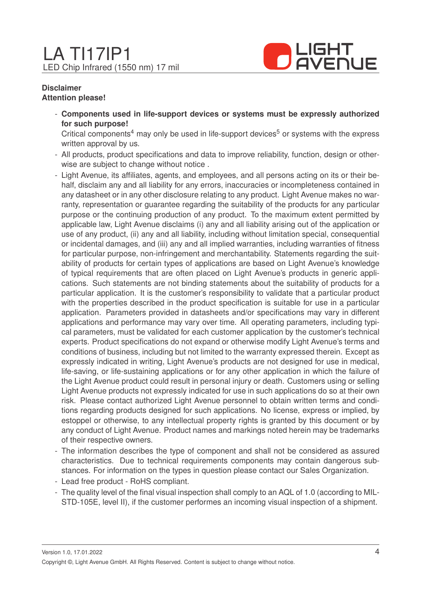

#### **Disclaimer Attention please!**

- **Components used in life-support devices or systems must be expressly authorized for such purpose!**

Critical components<sup>4</sup> may only be used in life-support devices<sup>5</sup> or systems with the express written approval by us.

- All products, product specifications and data to improve reliability, function, design or otherwise are subject to change without notice .
- Light Avenue, its affiliates, agents, and employees, and all persons acting on its or their behalf, disclaim any and all liability for any errors, inaccuracies or incompleteness contained in any datasheet or in any other disclosure relating to any product. Light Avenue makes no warranty, representation or guarantee regarding the suitability of the products for any particular purpose or the continuing production of any product. To the maximum extent permitted by applicable law, Light Avenue disclaims (i) any and all liability arising out of the application or use of any product, (ii) any and all liability, including without limitation special, consequential or incidental damages, and (iii) any and all implied warranties, including warranties of fitness for particular purpose, non-infringement and merchantability. Statements regarding the suitability of products for certain types of applications are based on Light Avenue's knowledge of typical requirements that are often placed on Light Avenue's products in generic applications. Such statements are not binding statements about the suitability of products for a particular application. It is the customer's responsibility to validate that a particular product with the properties described in the product specification is suitable for use in a particular application. Parameters provided in datasheets and/or specifications may vary in different applications and performance may vary over time. All operating parameters, including typical parameters, must be validated for each customer application by the customer's technical experts. Product specifications do not expand or otherwise modify Light Avenue's terms and conditions of business, including but not limited to the warranty expressed therein. Except as expressly indicated in writing, Light Avenue's products are not designed for use in medical, life-saving, or life-sustaining applications or for any other application in which the failure of the Light Avenue product could result in personal injury or death. Customers using or selling Light Avenue products not expressly indicated for use in such applications do so at their own risk. Please contact authorized Light Avenue personnel to obtain written terms and conditions regarding products designed for such applications. No license, express or implied, by estoppel or otherwise, to any intellectual property rights is granted by this document or by any conduct of Light Avenue. Product names and markings noted herein may be trademarks of their respective owners.
- The information describes the type of component and shall not be considered as assured characteristics. Due to technical requirements components may contain dangerous substances. For information on the types in question please contact our Sales Organization.
- Lead free product RoHS compliant.
- The quality level of the final visual inspection shall comply to an AQL of 1.0 (according to MIL-STD-105E, level II), if the customer performes an incoming visual inspection of a shipment.